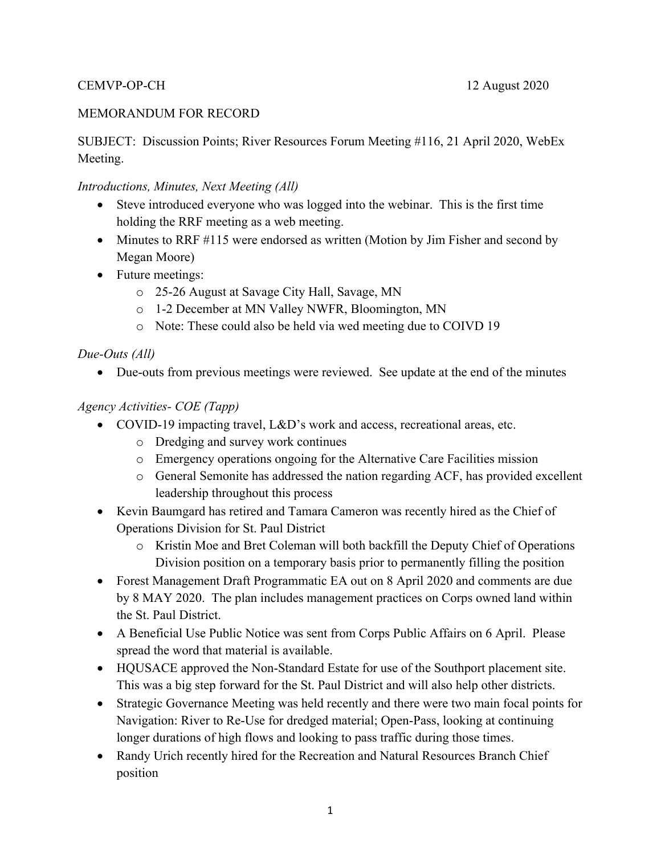#### CEMVP-OP-CH 12 August 2020

#### MEMORANDUM FOR RECORD

SUBJECT: Discussion Points; River Resources Forum Meeting #116, 21 April 2020, WebEx Meeting.

#### *Introductions, Minutes, Next Meeting (All)*

- Steve introduced everyone who was logged into the webinar. This is the first time holding the RRF meeting as a web meeting.
- Minutes to RRF #115 were endorsed as written (Motion by Jim Fisher and second by Megan Moore)
- Future meetings:
	- o 25-26 August at Savage City Hall, Savage, MN
	- o 1-2 December at MN Valley NWFR, Bloomington, MN
	- o Note: These could also be held via wed meeting due to COIVD 19

#### *Due-Outs (All)*

Due-outs from previous meetings were reviewed. See update at the end of the minutes

#### *Agency Activities- COE (Tapp)*

- COVID-19 impacting travel, L&D's work and access, recreational areas, etc.
	- o Dredging and survey work continues
	- o Emergency operations ongoing for the Alternative Care Facilities mission
	- o General Semonite has addressed the nation regarding ACF, has provided excellent leadership throughout this process
- Kevin Baumgard has retired and Tamara Cameron was recently hired as the Chief of Operations Division for St. Paul District
	- o Kristin Moe and Bret Coleman will both backfill the Deputy Chief of Operations Division position on a temporary basis prior to permanently filling the position
- Forest Management Draft Programmatic EA out on 8 April 2020 and comments are due by 8 MAY 2020. The plan includes management practices on Corps owned land within the St. Paul District.
- A Beneficial Use Public Notice was sent from Corps Public Affairs on 6 April. Please spread the word that material is available.
- HQUSACE approved the Non-Standard Estate for use of the Southport placement site. This was a big step forward for the St. Paul District and will also help other districts.
- Strategic Governance Meeting was held recently and there were two main focal points for Navigation: River to Re-Use for dredged material; Open-Pass, looking at continuing longer durations of high flows and looking to pass traffic during those times.
- Randy Urich recently hired for the Recreation and Natural Resources Branch Chief position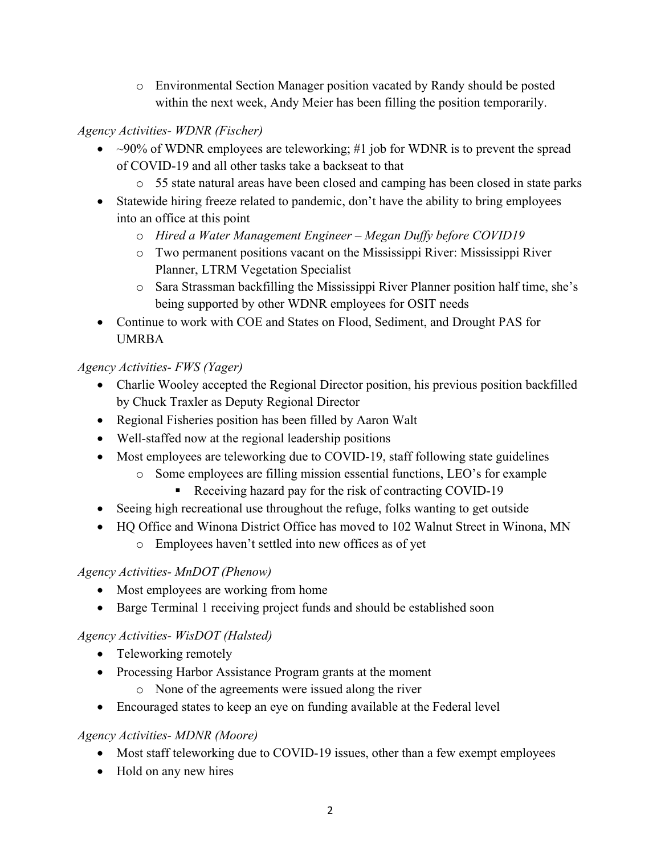o Environmental Section Manager position vacated by Randy should be posted within the next week, Andy Meier has been filling the position temporarily.

### *Agency Activities- WDNR (Fischer)*

- $\sim$ 90% of WDNR employees are teleworking; #1 job for WDNR is to prevent the spread of COVID-19 and all other tasks take a backseat to that
	- o 55 state natural areas have been closed and camping has been closed in state parks
- Statewide hiring freeze related to pandemic, don't have the ability to bring employees into an office at this point
	- o *Hired a Water Management Engineer Megan Duffy before COVID19*
	- o Two permanent positions vacant on the Mississippi River: Mississippi River Planner, LTRM Vegetation Specialist
	- o Sara Strassman backfilling the Mississippi River Planner position half time, she's being supported by other WDNR employees for OSIT needs
- Continue to work with COE and States on Flood, Sediment, and Drought PAS for UMRBA

## *Agency Activities- FWS (Yager)*

- Charlie Wooley accepted the Regional Director position, his previous position backfilled by Chuck Traxler as Deputy Regional Director
- Regional Fisheries position has been filled by Aaron Walt
- Well-staffed now at the regional leadership positions
- Most employees are teleworking due to COVID-19, staff following state guidelines
	- o Some employees are filling mission essential functions, LEO's for example
		- Receiving hazard pay for the risk of contracting COVID-19
- Seeing high recreational use throughout the refuge, folks wanting to get outside
- HQ Office and Winona District Office has moved to 102 Walnut Street in Winona, MN
	- o Employees haven't settled into new offices as of yet

## *Agency Activities- MnDOT (Phenow)*

- Most employees are working from home
- Barge Terminal 1 receiving project funds and should be established soon

## *Agency Activities- WisDOT (Halsted)*

- Teleworking remotely
- Processing Harbor Assistance Program grants at the moment
	- o None of the agreements were issued along the river
- Encouraged states to keep an eye on funding available at the Federal level

## *Agency Activities- MDNR (Moore)*

- Most staff teleworking due to COVID-19 issues, other than a few exempt employees
- Hold on any new hires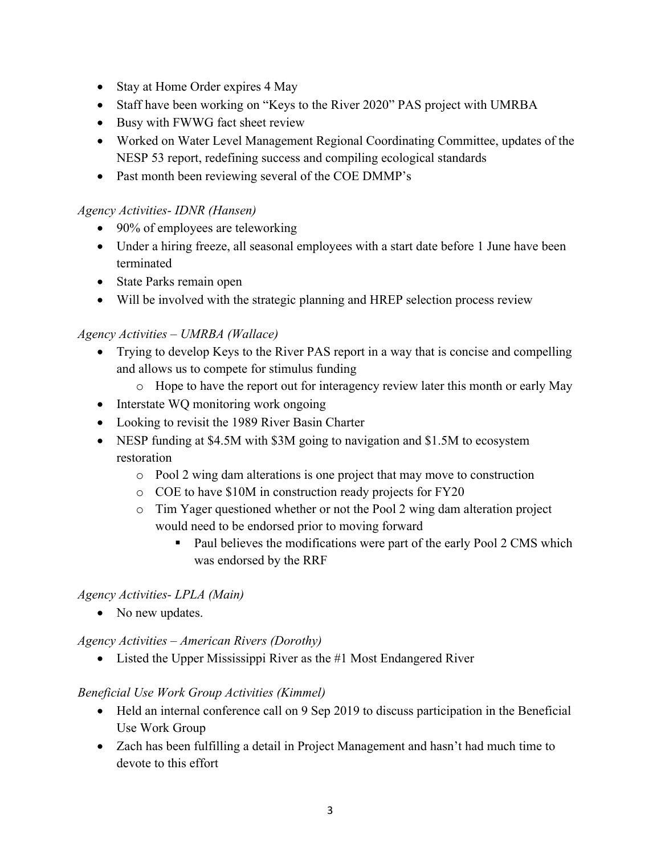- Stay at Home Order expires 4 May
- Staff have been working on "Keys to the River 2020" PAS project with UMRBA
- Busy with FWWG fact sheet review
- Worked on Water Level Management Regional Coordinating Committee, updates of the NESP 53 report, redefining success and compiling ecological standards
- Past month been reviewing several of the COE DMMP's

#### *Agency Activities- IDNR (Hansen)*

- 90% of employees are teleworking
- Under a hiring freeze, all seasonal employees with a start date before 1 June have been terminated
- State Parks remain open
- Will be involved with the strategic planning and HREP selection process review

#### *Agency Activities – UMRBA (Wallace)*

- Trying to develop Keys to the River PAS report in a way that is concise and compelling and allows us to compete for stimulus funding
	- o Hope to have the report out for interagency review later this month or early May
- Interstate WQ monitoring work ongoing
- Looking to revisit the 1989 River Basin Charter
- NESP funding at \$4.5M with \$3M going to navigation and \$1.5M to ecosystem restoration
	- o Pool 2 wing dam alterations is one project that may move to construction
	- o COE to have \$10M in construction ready projects for FY20
	- o Tim Yager questioned whether or not the Pool 2 wing dam alteration project would need to be endorsed prior to moving forward
		- Paul believes the modifications were part of the early Pool 2 CMS which was endorsed by the RRF

#### *Agency Activities- LPLA (Main)*

• No new updates.

*Agency Activities – American Rivers (Dorothy)* 

• Listed the Upper Mississippi River as the #1 Most Endangered River

#### *Beneficial Use Work Group Activities (Kimmel)*

- Held an internal conference call on 9 Sep 2019 to discuss participation in the Beneficial Use Work Group
- Zach has been fulfilling a detail in Project Management and hasn't had much time to devote to this effort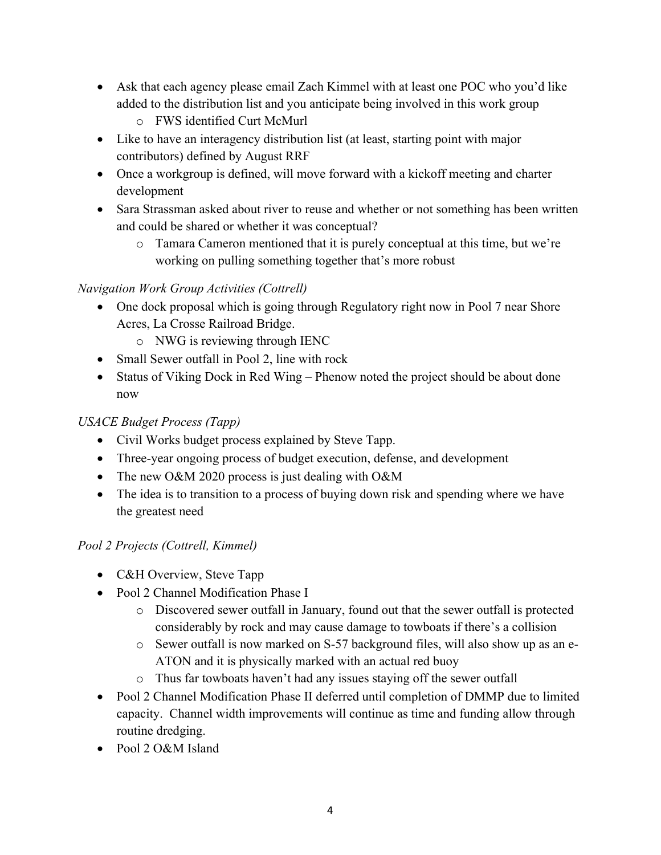- Ask that each agency please email Zach Kimmel with at least one POC who you'd like added to the distribution list and you anticipate being involved in this work group
	- o FWS identified Curt McMurl
- Like to have an interagency distribution list (at least, starting point with major contributors) defined by August RRF
- Once a workgroup is defined, will move forward with a kickoff meeting and charter development
- Sara Strassman asked about river to reuse and whether or not something has been written and could be shared or whether it was conceptual?
	- o Tamara Cameron mentioned that it is purely conceptual at this time, but we're working on pulling something together that's more robust

## *Navigation Work Group Activities (Cottrell)*

- One dock proposal which is going through Regulatory right now in Pool 7 near Shore Acres, La Crosse Railroad Bridge.
	- o NWG is reviewing through IENC
- Small Sewer outfall in Pool 2, line with rock
- Status of Viking Dock in Red Wing Phenow noted the project should be about done now

# *USACE Budget Process (Tapp)*

- Civil Works budget process explained by Steve Tapp.
- Three-year ongoing process of budget execution, defense, and development
- The new O&M 2020 process is just dealing with O&M
- The idea is to transition to a process of buying down risk and spending where we have the greatest need

# *Pool 2 Projects (Cottrell, Kimmel)*

- C&H Overview, Steve Tapp
- Pool 2 Channel Modification Phase I
	- o Discovered sewer outfall in January, found out that the sewer outfall is protected considerably by rock and may cause damage to towboats if there's a collision
	- o Sewer outfall is now marked on S-57 background files, will also show up as an e-ATON and it is physically marked with an actual red buoy
	- o Thus far towboats haven't had any issues staying off the sewer outfall
- Pool 2 Channel Modification Phase II deferred until completion of DMMP due to limited capacity. Channel width improvements will continue as time and funding allow through routine dredging.
- Pool 2 O&M Island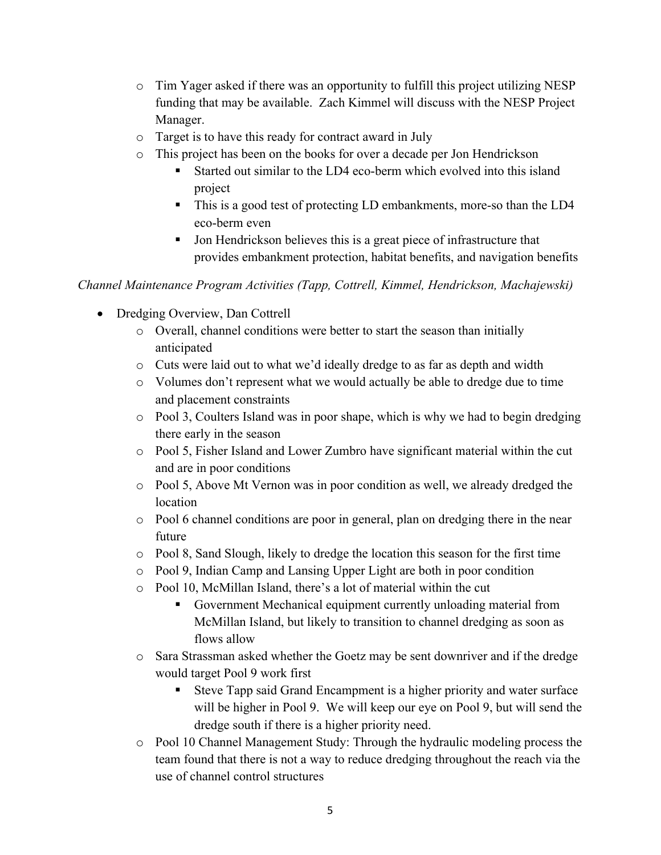- o Tim Yager asked if there was an opportunity to fulfill this project utilizing NESP funding that may be available. Zach Kimmel will discuss with the NESP Project Manager.
- o Target is to have this ready for contract award in July
- o This project has been on the books for over a decade per Jon Hendrickson
	- Started out similar to the LD4 eco-berm which evolved into this island project
	- This is a good test of protecting LD embankments, more-so than the LD4 eco-berm even
	- If Jon Hendrickson believes this is a great piece of infrastructure that provides embankment protection, habitat benefits, and navigation benefits

*Channel Maintenance Program Activities (Tapp, Cottrell, Kimmel, Hendrickson, Machajewski)* 

- Dredging Overview, Dan Cottrell
	- o Overall, channel conditions were better to start the season than initially anticipated
	- o Cuts were laid out to what we'd ideally dredge to as far as depth and width
	- o Volumes don't represent what we would actually be able to dredge due to time and placement constraints
	- o Pool 3, Coulters Island was in poor shape, which is why we had to begin dredging there early in the season
	- o Pool 5, Fisher Island and Lower Zumbro have significant material within the cut and are in poor conditions
	- o Pool 5, Above Mt Vernon was in poor condition as well, we already dredged the location
	- o Pool 6 channel conditions are poor in general, plan on dredging there in the near future
	- $\circ$  Pool 8, Sand Slough, likely to dredge the location this season for the first time
	- o Pool 9, Indian Camp and Lansing Upper Light are both in poor condition
	- o Pool 10, McMillan Island, there's a lot of material within the cut
		- Government Mechanical equipment currently unloading material from McMillan Island, but likely to transition to channel dredging as soon as flows allow
	- o Sara Strassman asked whether the Goetz may be sent downriver and if the dredge would target Pool 9 work first
		- Steve Tapp said Grand Encampment is a higher priority and water surface will be higher in Pool 9. We will keep our eye on Pool 9, but will send the dredge south if there is a higher priority need.
	- o Pool 10 Channel Management Study: Through the hydraulic modeling process the team found that there is not a way to reduce dredging throughout the reach via the use of channel control structures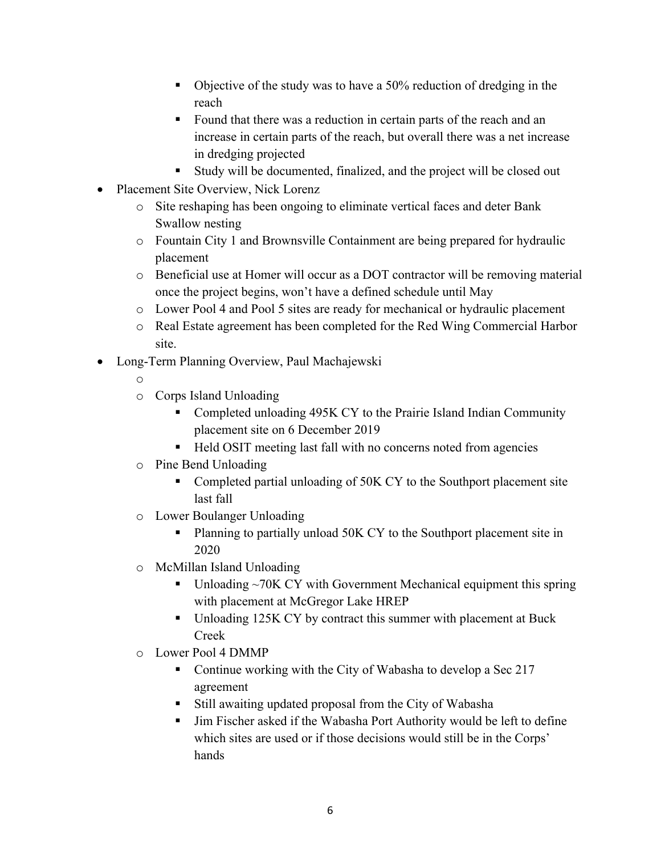- Objective of the study was to have a 50% reduction of dredging in the reach
- Found that there was a reduction in certain parts of the reach and an increase in certain parts of the reach, but overall there was a net increase in dredging projected
- Study will be documented, finalized, and the project will be closed out
- Placement Site Overview, Nick Lorenz
	- o Site reshaping has been ongoing to eliminate vertical faces and deter Bank Swallow nesting
	- o Fountain City 1 and Brownsville Containment are being prepared for hydraulic placement
	- o Beneficial use at Homer will occur as a DOT contractor will be removing material once the project begins, won't have a defined schedule until May
	- o Lower Pool 4 and Pool 5 sites are ready for mechanical or hydraulic placement
	- o Real Estate agreement has been completed for the Red Wing Commercial Harbor site.
- Long-Term Planning Overview, Paul Machajewski
	- o
	- o Corps Island Unloading
		- Completed unloading 495K CY to the Prairie Island Indian Community placement site on 6 December 2019
		- Held OSIT meeting last fall with no concerns noted from agencies
	- o Pine Bend Unloading
		- Completed partial unloading of 50K CY to the Southport placement site last fall
	- o Lower Boulanger Unloading
		- Planning to partially unload 50K CY to the Southport placement site in 2020
	- o McMillan Island Unloading
		- Unloading ~70K CY with Government Mechanical equipment this spring with placement at McGregor Lake HREP
		- Unloading 125K CY by contract this summer with placement at Buck Creek
	- o Lower Pool 4 DMMP
		- Continue working with the City of Wabasha to develop a Sec 217 agreement
		- Still awaiting updated proposal from the City of Wabasha
		- Jim Fischer asked if the Wabasha Port Authority would be left to define which sites are used or if those decisions would still be in the Corps' hands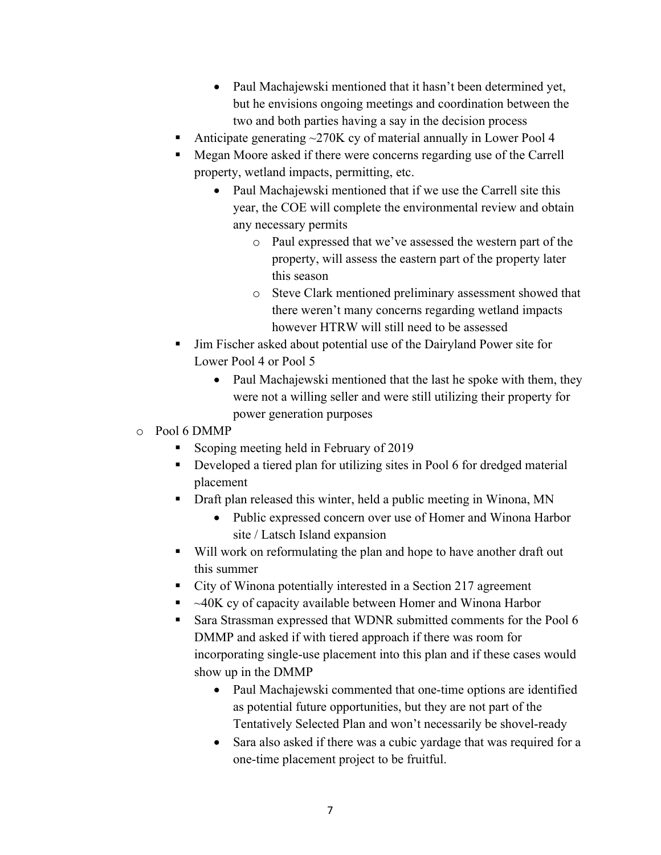- Paul Machajewski mentioned that it hasn't been determined yet, but he envisions ongoing meetings and coordination between the two and both parties having a say in the decision process
- Anticipate generating ~270K cy of material annually in Lower Pool 4
- Megan Moore asked if there were concerns regarding use of the Carrell property, wetland impacts, permitting, etc.
	- Paul Machajewski mentioned that if we use the Carrell site this year, the COE will complete the environmental review and obtain any necessary permits
		- o Paul expressed that we've assessed the western part of the property, will assess the eastern part of the property later this season
		- o Steve Clark mentioned preliminary assessment showed that there weren't many concerns regarding wetland impacts however HTRW will still need to be assessed
- Jim Fischer asked about potential use of the Dairyland Power site for Lower Pool 4 or Pool 5
	- Paul Machajewski mentioned that the last he spoke with them, they were not a willing seller and were still utilizing their property for power generation purposes
- o Pool 6 DMMP
	- Scoping meeting held in February of 2019
	- Developed a tiered plan for utilizing sites in Pool 6 for dredged material placement
	- Draft plan released this winter, held a public meeting in Winona, MN
		- Public expressed concern over use of Homer and Winona Harbor site / Latsch Island expansion
	- Will work on reformulating the plan and hope to have another draft out this summer
	- City of Winona potentially interested in a Section 217 agreement
	- $\sim$  40K cy of capacity available between Homer and Winona Harbor
	- Sara Strassman expressed that WDNR submitted comments for the Pool 6 DMMP and asked if with tiered approach if there was room for incorporating single-use placement into this plan and if these cases would show up in the DMMP
		- Paul Machajewski commented that one-time options are identified as potential future opportunities, but they are not part of the Tentatively Selected Plan and won't necessarily be shovel-ready
		- Sara also asked if there was a cubic yardage that was required for a one-time placement project to be fruitful.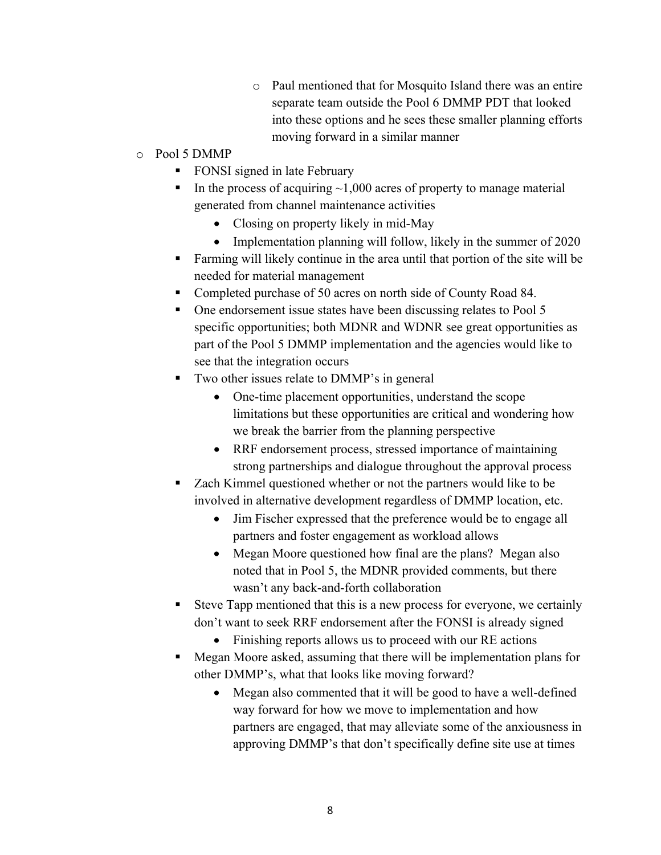- o Paul mentioned that for Mosquito Island there was an entire separate team outside the Pool 6 DMMP PDT that looked into these options and he sees these smaller planning efforts moving forward in a similar manner
- o Pool 5 DMMP
	- **FONSI** signed in late February
	- In the process of acquiring  $\sim 1,000$  acres of property to manage material generated from channel maintenance activities
		- Closing on property likely in mid-May
		- Implementation planning will follow, likely in the summer of 2020
	- Farming will likely continue in the area until that portion of the site will be needed for material management
	- Completed purchase of 50 acres on north side of County Road 84.
	- One endorsement issue states have been discussing relates to Pool 5 specific opportunities; both MDNR and WDNR see great opportunities as part of the Pool 5 DMMP implementation and the agencies would like to see that the integration occurs
	- Two other issues relate to DMMP's in general
		- One-time placement opportunities, understand the scope limitations but these opportunities are critical and wondering how we break the barrier from the planning perspective
		- RRF endorsement process, stressed importance of maintaining strong partnerships and dialogue throughout the approval process
	- Zach Kimmel questioned whether or not the partners would like to be involved in alternative development regardless of DMMP location, etc.
		- Jim Fischer expressed that the preference would be to engage all partners and foster engagement as workload allows
		- Megan Moore questioned how final are the plans? Megan also noted that in Pool 5, the MDNR provided comments, but there wasn't any back-and-forth collaboration
	- Steve Tapp mentioned that this is a new process for everyone, we certainly don't want to seek RRF endorsement after the FONSI is already signed
		- Finishing reports allows us to proceed with our RE actions
	- Megan Moore asked, assuming that there will be implementation plans for other DMMP's, what that looks like moving forward?
		- Megan also commented that it will be good to have a well-defined way forward for how we move to implementation and how partners are engaged, that may alleviate some of the anxiousness in approving DMMP's that don't specifically define site use at times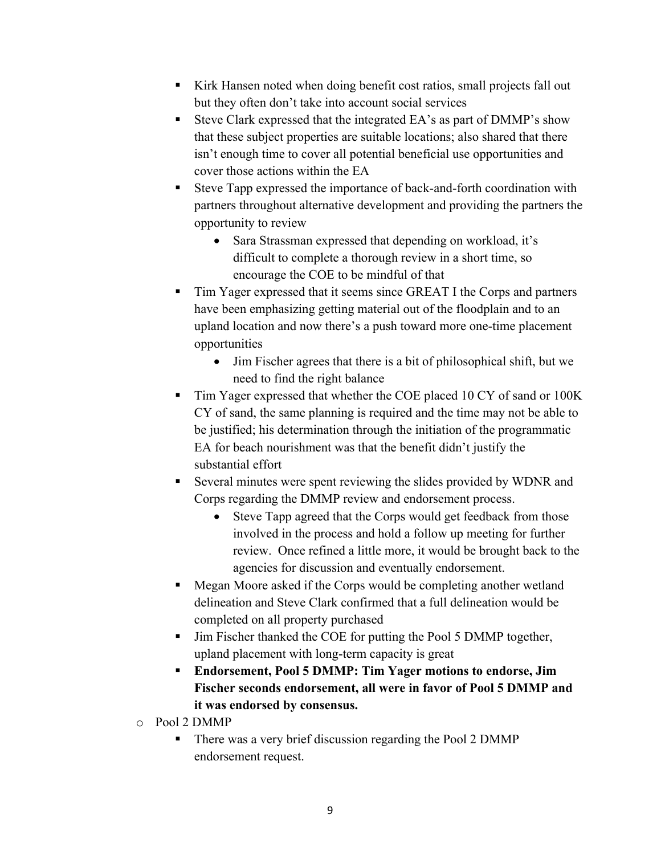- Kirk Hansen noted when doing benefit cost ratios, small projects fall out but they often don't take into account social services
- Steve Clark expressed that the integrated EA's as part of DMMP's show that these subject properties are suitable locations; also shared that there isn't enough time to cover all potential beneficial use opportunities and cover those actions within the EA
- Steve Tapp expressed the importance of back-and-forth coordination with partners throughout alternative development and providing the partners the opportunity to review
	- Sara Strassman expressed that depending on workload, it's difficult to complete a thorough review in a short time, so encourage the COE to be mindful of that
- Tim Yager expressed that it seems since GREAT I the Corps and partners have been emphasizing getting material out of the floodplain and to an upland location and now there's a push toward more one-time placement opportunities
	- Jim Fischer agrees that there is a bit of philosophical shift, but we need to find the right balance
- Tim Yager expressed that whether the COE placed 10 CY of sand or 100K CY of sand, the same planning is required and the time may not be able to be justified; his determination through the initiation of the programmatic EA for beach nourishment was that the benefit didn't justify the substantial effort
- Several minutes were spent reviewing the slides provided by WDNR and Corps regarding the DMMP review and endorsement process.
	- Steve Tapp agreed that the Corps would get feedback from those involved in the process and hold a follow up meeting for further review. Once refined a little more, it would be brought back to the agencies for discussion and eventually endorsement.
- Megan Moore asked if the Corps would be completing another wetland delineation and Steve Clark confirmed that a full delineation would be completed on all property purchased
- Jim Fischer thanked the COE for putting the Pool 5 DMMP together, upland placement with long-term capacity is great
- **Endorsement, Pool 5 DMMP: Tim Yager motions to endorse, Jim Fischer seconds endorsement, all were in favor of Pool 5 DMMP and it was endorsed by consensus.**
- o Pool 2 DMMP
	- There was a very brief discussion regarding the Pool 2 DMMP endorsement request.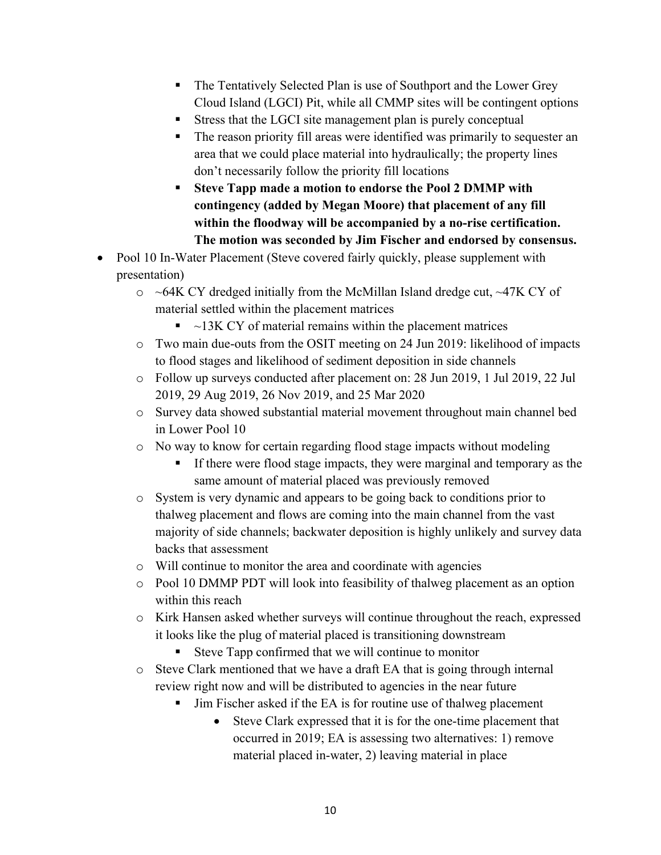- The Tentatively Selected Plan is use of Southport and the Lower Grey Cloud Island (LGCI) Pit, while all CMMP sites will be contingent options
- Stress that the LGCI site management plan is purely conceptual
- The reason priority fill areas were identified was primarily to sequester an area that we could place material into hydraulically; the property lines don't necessarily follow the priority fill locations
- **Steve Tapp made a motion to endorse the Pool 2 DMMP with contingency (added by Megan Moore) that placement of any fill within the floodway will be accompanied by a no-rise certification. The motion was seconded by Jim Fischer and endorsed by consensus.**
- Pool 10 In-Water Placement (Steve covered fairly quickly, please supplement with presentation)
	- $\circ$  ~64K CY dredged initially from the McMillan Island dredge cut, ~47K CY of material settled within the placement matrices
		- $\sim$  13K CY of material remains within the placement matrices
	- o Two main due-outs from the OSIT meeting on 24 Jun 2019: likelihood of impacts to flood stages and likelihood of sediment deposition in side channels
	- o Follow up surveys conducted after placement on: 28 Jun 2019, 1 Jul 2019, 22 Jul 2019, 29 Aug 2019, 26 Nov 2019, and 25 Mar 2020
	- o Survey data showed substantial material movement throughout main channel bed in Lower Pool 10
	- o No way to know for certain regarding flood stage impacts without modeling
		- If there were flood stage impacts, they were marginal and temporary as the same amount of material placed was previously removed
	- o System is very dynamic and appears to be going back to conditions prior to thalweg placement and flows are coming into the main channel from the vast majority of side channels; backwater deposition is highly unlikely and survey data backs that assessment
	- o Will continue to monitor the area and coordinate with agencies
	- o Pool 10 DMMP PDT will look into feasibility of thalweg placement as an option within this reach
	- o Kirk Hansen asked whether surveys will continue throughout the reach, expressed it looks like the plug of material placed is transitioning downstream
		- Steve Tapp confirmed that we will continue to monitor
	- o Steve Clark mentioned that we have a draft EA that is going through internal review right now and will be distributed to agencies in the near future
		- Jim Fischer asked if the EA is for routine use of thalweg placement
			- Steve Clark expressed that it is for the one-time placement that occurred in 2019; EA is assessing two alternatives: 1) remove material placed in-water, 2) leaving material in place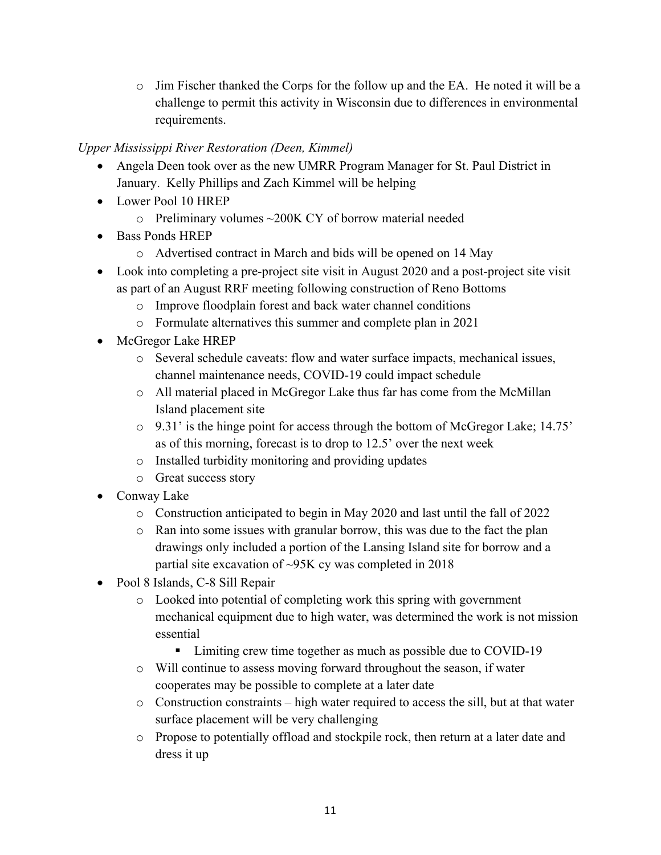$\circ$  Jim Fischer thanked the Corps for the follow up and the EA. He noted it will be a challenge to permit this activity in Wisconsin due to differences in environmental requirements.

#### *Upper Mississippi River Restoration (Deen, Kimmel)*

- Angela Deen took over as the new UMRR Program Manager for St. Paul District in January. Kelly Phillips and Zach Kimmel will be helping
- Lower Pool 10 HREP
	- $\circ$  Preliminary volumes  $\sim$ 200K CY of borrow material needed
- Bass Ponds HREP
	- o Advertised contract in March and bids will be opened on 14 May
- Look into completing a pre-project site visit in August 2020 and a post-project site visit as part of an August RRF meeting following construction of Reno Bottoms
	- o Improve floodplain forest and back water channel conditions
	- o Formulate alternatives this summer and complete plan in 2021
- McGregor Lake HREP
	- o Several schedule caveats: flow and water surface impacts, mechanical issues, channel maintenance needs, COVID-19 could impact schedule
	- o All material placed in McGregor Lake thus far has come from the McMillan Island placement site
	- o 9.31' is the hinge point for access through the bottom of McGregor Lake; 14.75' as of this morning, forecast is to drop to 12.5' over the next week
	- o Installed turbidity monitoring and providing updates
	- o Great success story
- Conway Lake
	- o Construction anticipated to begin in May 2020 and last until the fall of 2022
	- o Ran into some issues with granular borrow, this was due to the fact the plan drawings only included a portion of the Lansing Island site for borrow and a partial site excavation of ~95K cy was completed in 2018
- Pool 8 Islands, C-8 Sill Repair
	- o Looked into potential of completing work this spring with government mechanical equipment due to high water, was determined the work is not mission essential
		- Limiting crew time together as much as possible due to COVID-19
	- o Will continue to assess moving forward throughout the season, if water cooperates may be possible to complete at a later date
	- o Construction constraints high water required to access the sill, but at that water surface placement will be very challenging
	- o Propose to potentially offload and stockpile rock, then return at a later date and dress it up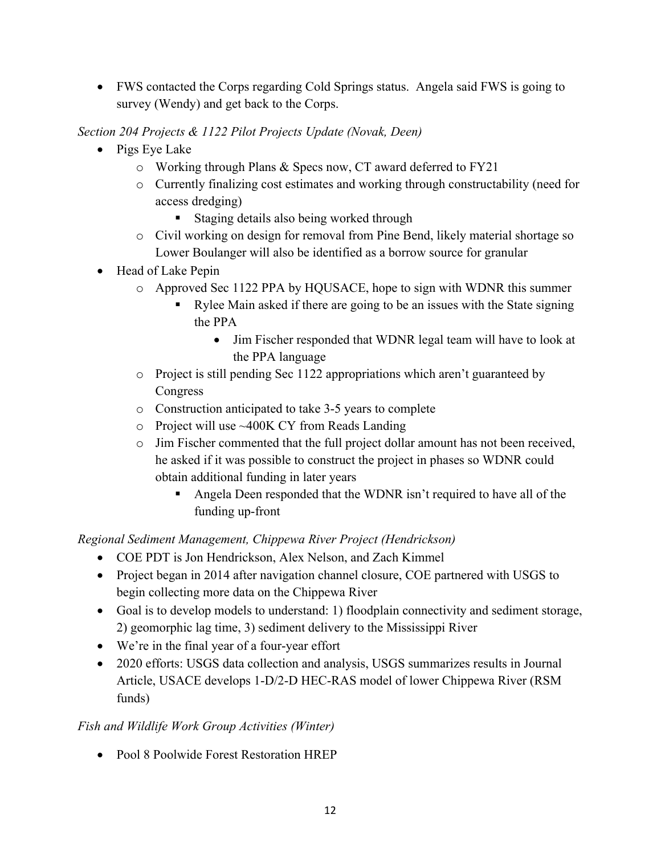FWS contacted the Corps regarding Cold Springs status. Angela said FWS is going to survey (Wendy) and get back to the Corps.

## *Section 204 Projects & 1122 Pilot Projects Update (Novak, Deen)*

- Pigs Eye Lake
	- o Working through Plans & Specs now, CT award deferred to FY21
	- o Currently finalizing cost estimates and working through constructability (need for access dredging)
		- Staging details also being worked through
	- o Civil working on design for removal from Pine Bend, likely material shortage so Lower Boulanger will also be identified as a borrow source for granular
- Head of Lake Pepin
	- o Approved Sec 1122 PPA by HQUSACE, hope to sign with WDNR this summer
		- Rylee Main asked if there are going to be an issues with the State signing the PPA
			- Jim Fischer responded that WDNR legal team will have to look at the PPA language
	- o Project is still pending Sec 1122 appropriations which aren't guaranteed by Congress
	- o Construction anticipated to take 3-5 years to complete
	- o Project will use ~400K CY from Reads Landing
	- o Jim Fischer commented that the full project dollar amount has not been received, he asked if it was possible to construct the project in phases so WDNR could obtain additional funding in later years
		- Angela Deen responded that the WDNR isn't required to have all of the funding up-front

*Regional Sediment Management, Chippewa River Project (Hendrickson)* 

- COE PDT is Jon Hendrickson, Alex Nelson, and Zach Kimmel
- Project began in 2014 after navigation channel closure, COE partnered with USGS to begin collecting more data on the Chippewa River
- Goal is to develop models to understand: 1) floodplain connectivity and sediment storage, 2) geomorphic lag time, 3) sediment delivery to the Mississippi River
- We're in the final year of a four-year effort
- 2020 efforts: USGS data collection and analysis, USGS summarizes results in Journal Article, USACE develops 1-D/2-D HEC-RAS model of lower Chippewa River (RSM funds)

## *Fish and Wildlife Work Group Activities (Winter)*

Pool 8 Poolwide Forest Restoration HREP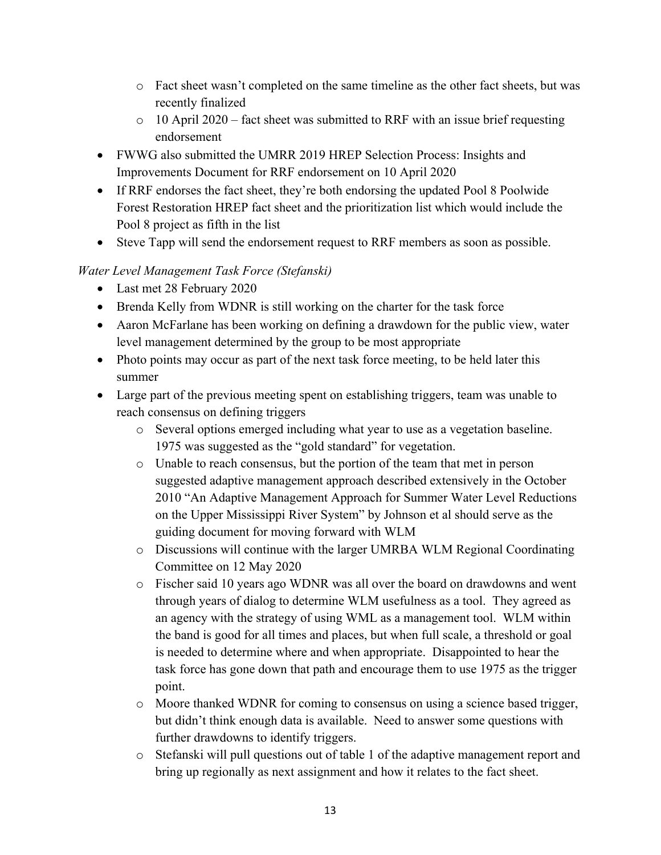- o Fact sheet wasn't completed on the same timeline as the other fact sheets, but was recently finalized
- o 10 April 2020 fact sheet was submitted to RRF with an issue brief requesting endorsement
- FWWG also submitted the UMRR 2019 HREP Selection Process: Insights and Improvements Document for RRF endorsement on 10 April 2020
- If RRF endorses the fact sheet, they're both endorsing the updated Pool 8 Poolwide Forest Restoration HREP fact sheet and the prioritization list which would include the Pool 8 project as fifth in the list
- Steve Tapp will send the endorsement request to RRF members as soon as possible.

## *Water Level Management Task Force (Stefanski)*

- Last met 28 February 2020
- Brenda Kelly from WDNR is still working on the charter for the task force
- Aaron McFarlane has been working on defining a drawdown for the public view, water level management determined by the group to be most appropriate
- Photo points may occur as part of the next task force meeting, to be held later this summer
- Large part of the previous meeting spent on establishing triggers, team was unable to reach consensus on defining triggers
	- o Several options emerged including what year to use as a vegetation baseline. 1975 was suggested as the "gold standard" for vegetation.
	- o Unable to reach consensus, but the portion of the team that met in person suggested adaptive management approach described extensively in the October 2010 "An Adaptive Management Approach for Summer Water Level Reductions on the Upper Mississippi River System" by Johnson et al should serve as the guiding document for moving forward with WLM
	- o Discussions will continue with the larger UMRBA WLM Regional Coordinating Committee on 12 May 2020
	- o Fischer said 10 years ago WDNR was all over the board on drawdowns and went through years of dialog to determine WLM usefulness as a tool. They agreed as an agency with the strategy of using WML as a management tool. WLM within the band is good for all times and places, but when full scale, a threshold or goal is needed to determine where and when appropriate. Disappointed to hear the task force has gone down that path and encourage them to use 1975 as the trigger point.
	- o Moore thanked WDNR for coming to consensus on using a science based trigger, but didn't think enough data is available. Need to answer some questions with further drawdowns to identify triggers.
	- o Stefanski will pull questions out of table 1 of the adaptive management report and bring up regionally as next assignment and how it relates to the fact sheet.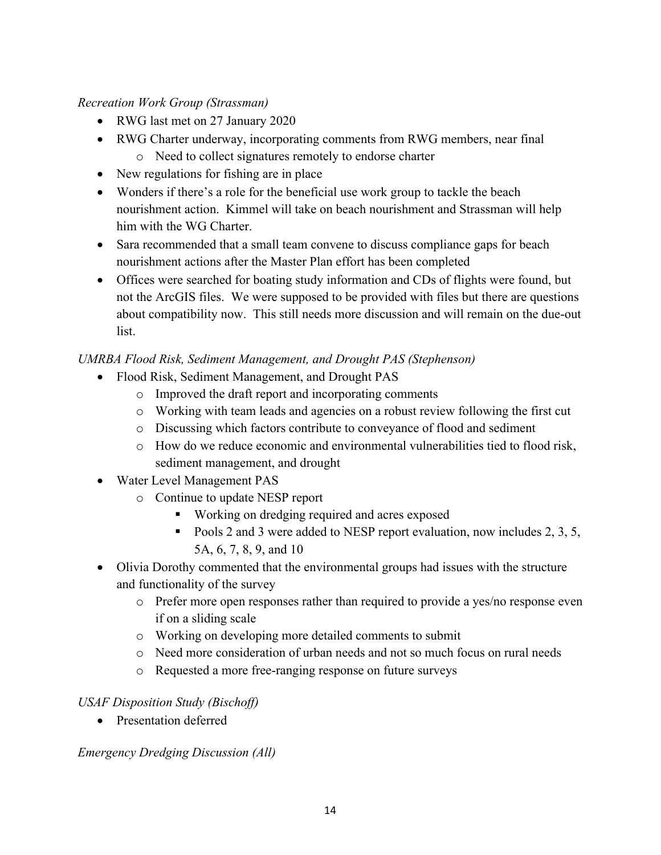#### *Recreation Work Group (Strassman)*

- RWG last met on 27 January 2020
- RWG Charter underway, incorporating comments from RWG members, near final o Need to collect signatures remotely to endorse charter
- New regulations for fishing are in place
- Wonders if there's a role for the beneficial use work group to tackle the beach nourishment action. Kimmel will take on beach nourishment and Strassman will help him with the WG Charter.
- Sara recommended that a small team convene to discuss compliance gaps for beach nourishment actions after the Master Plan effort has been completed
- Offices were searched for boating study information and CDs of flights were found, but not the ArcGIS files. We were supposed to be provided with files but there are questions about compatibility now. This still needs more discussion and will remain on the due-out list.

#### *UMRBA Flood Risk, Sediment Management, and Drought PAS (Stephenson)*

- Flood Risk, Sediment Management, and Drought PAS
	- o Improved the draft report and incorporating comments
	- o Working with team leads and agencies on a robust review following the first cut
	- o Discussing which factors contribute to conveyance of flood and sediment
	- o How do we reduce economic and environmental vulnerabilities tied to flood risk, sediment management, and drought
- Water Level Management PAS
	- o Continue to update NESP report
		- **Working on dredging required and acres exposed**
		- Pools 2 and 3 were added to NESP report evaluation, now includes 2, 3, 5, 5A, 6, 7, 8, 9, and 10
- Olivia Dorothy commented that the environmental groups had issues with the structure and functionality of the survey
	- o Prefer more open responses rather than required to provide a yes/no response even if on a sliding scale
	- o Working on developing more detailed comments to submit
	- o Need more consideration of urban needs and not so much focus on rural needs
	- o Requested a more free-ranging response on future surveys

#### *USAF Disposition Study (Bischoff)*

• Presentation deferred

*Emergency Dredging Discussion (All)*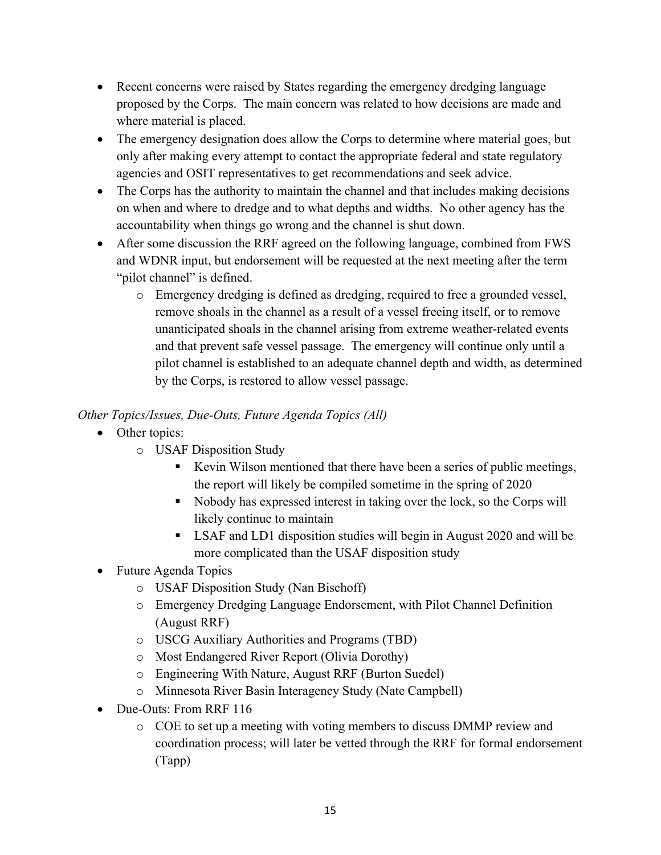- Recent concerns were raised by States regarding the emergency dredging language proposed by the Corps. The main concern was related to how decisions are made and where material is placed.
- The emergency designation does allow the Corps to determine where material goes, but only after making every attempt to contact the appropriate federal and state regulatory agencies and OSIT representatives to get recommendations and seek advice.
- The Corps has the authority to maintain the channel and that includes making decisions on when and where to dredge and to what depths and widths. No other agency has the accountability when things go wrong and the channel is shut down.
- After some discussion the RRF agreed on the following language, combined from FWS and WDNR input, but endorsement will be requested at the next meeting after the term "pilot channel" is defined.
	- o Emergency dredging is defined as dredging, required to free a grounded vessel, remove shoals in the channel as a result of a vessel freeing itself, or to remove unanticipated shoals in the channel arising from extreme weather-related events and that prevent safe vessel passage. The emergency will continue only until a pilot channel is established to an adequate channel depth and width, as determined by the Corps, is restored to allow vessel passage.

## *Other Topics/Issues, Due-Outs, Future Agenda Topics (All)*

- Other topics:
	- o USAF Disposition Study
		- Kevin Wilson mentioned that there have been a series of public meetings, the report will likely be compiled sometime in the spring of 2020
		- Nobody has expressed interest in taking over the lock, so the Corps will likely continue to maintain
		- LSAF and LD1 disposition studies will begin in August 2020 and will be more complicated than the USAF disposition study
- Future Agenda Topics
	- o USAF Disposition Study (Nan Bischoff)
	- o Emergency Dredging Language Endorsement, with Pilot Channel Definition (August RRF)
	- o USCG Auxiliary Authorities and Programs (TBD)
	- o Most Endangered River Report (Olivia Dorothy)
	- o Engineering With Nature, August RRF (Burton Suedel)
	- o Minnesota River Basin Interagency Study (Nate Campbell)
- Due-Outs: From RRF 116
	- o COE to set up a meeting with voting members to discuss DMMP review and coordination process; will later be vetted through the RRF for formal endorsement (Tapp)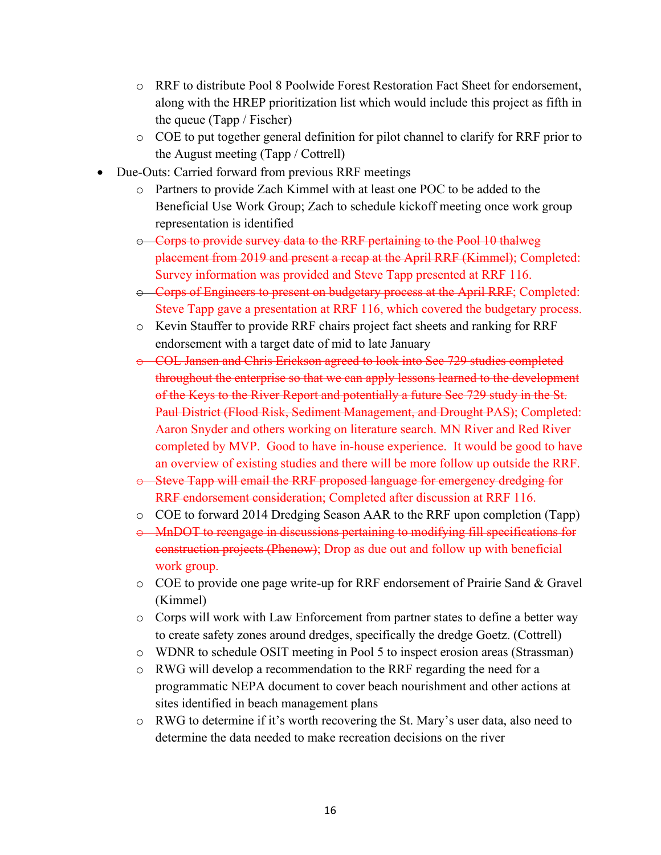- o RRF to distribute Pool 8 Poolwide Forest Restoration Fact Sheet for endorsement, along with the HREP prioritization list which would include this project as fifth in the queue (Tapp / Fischer)
- o COE to put together general definition for pilot channel to clarify for RRF prior to the August meeting (Tapp / Cottrell)
- Due-Outs: Carried forward from previous RRF meetings
	- o Partners to provide Zach Kimmel with at least one POC to be added to the Beneficial Use Work Group; Zach to schedule kickoff meeting once work group representation is identified
	- o Corps to provide survey data to the RRF pertaining to the Pool 10 thalweg placement from 2019 and present a recap at the April RRF (Kimmel); Completed: Survey information was provided and Steve Tapp presented at RRF 116.
	- o Corps of Engineers to present on budgetary process at the April RRF; Completed: Steve Tapp gave a presentation at RRF 116, which covered the budgetary process.
	- o Kevin Stauffer to provide RRF chairs project fact sheets and ranking for RRF endorsement with a target date of mid to late January
	- o COL Jansen and Chris Erickson agreed to look into Sec 729 studies completed throughout the enterprise so that we can apply lessons learned to the development of the Keys to the River Report and potentially a future Sec 729 study in the St. Paul District (Flood Risk, Sediment Management, and Drought PAS); Completed: Aaron Snyder and others working on literature search. MN River and Red River completed by MVP. Good to have in-house experience. It would be good to have an overview of existing studies and there will be more follow up outside the RRF.
	- o Steve Tapp will email the RRF proposed language for emergency dredging for RRF endorsement consideration; Completed after discussion at RRF 116.
	- o COE to forward 2014 Dredging Season AAR to the RRF upon completion (Tapp)
	- o MnDOT to reengage in discussions pertaining to modifying fill specifications for construction projects (Phenow); Drop as due out and follow up with beneficial work group.
	- $\circ$  COE to provide one page write-up for RRF endorsement of Prairie Sand & Gravel (Kimmel)
	- o Corps will work with Law Enforcement from partner states to define a better way to create safety zones around dredges, specifically the dredge Goetz. (Cottrell)
	- o WDNR to schedule OSIT meeting in Pool 5 to inspect erosion areas (Strassman)
	- o RWG will develop a recommendation to the RRF regarding the need for a programmatic NEPA document to cover beach nourishment and other actions at sites identified in beach management plans
	- o RWG to determine if it's worth recovering the St. Mary's user data, also need to determine the data needed to make recreation decisions on the river